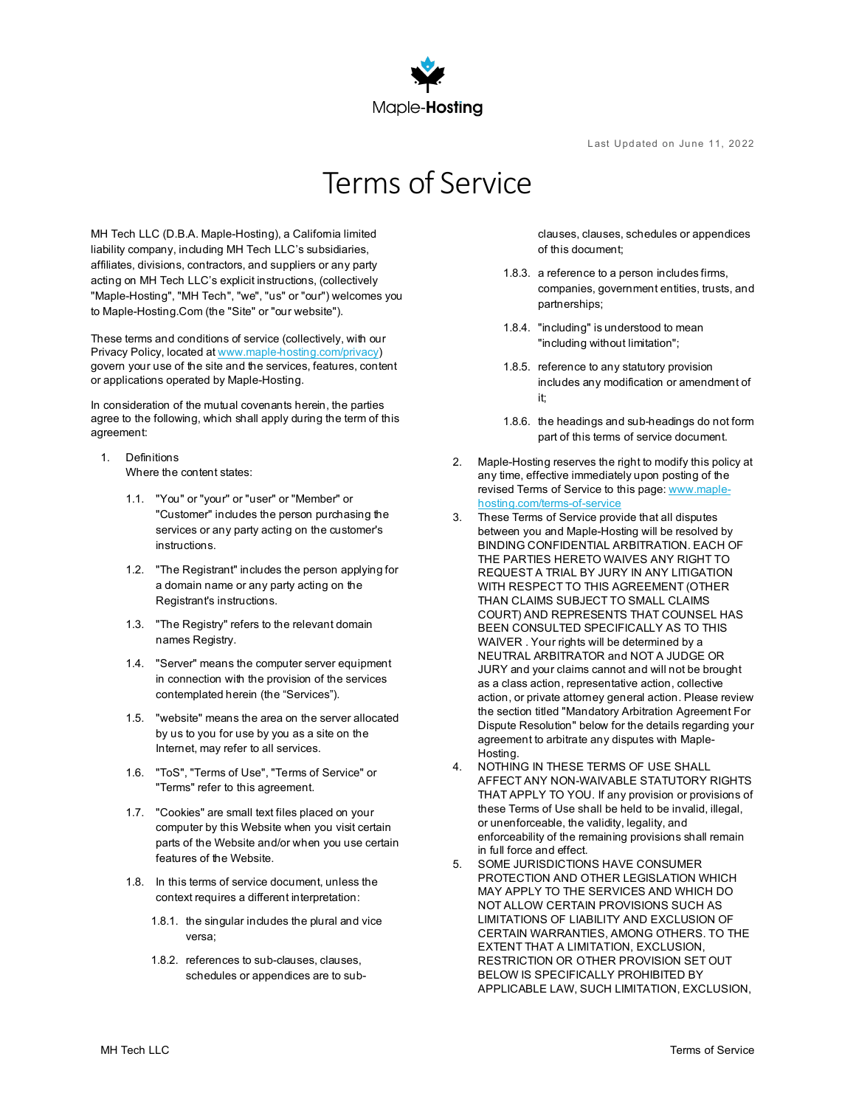

Last Updated on June 11, 2022

# Terms of Service

MH Tech LLC (D.B.A. Maple-Hosting), a California limited liability company, including MH Tech LLC's subsidiaries, affiliates, divisions, contractors, and suppliers or any party acting on MH Tech LLC's explicit instructions, (collectively "Maple-Hosting", "MH Tech", "we", "us" or "our") welcomes you to Maple-Hosting.Com (the "Site" or "our website").

These terms and conditions of service (collectively, with our Privacy Policy, located a[t www.maple-hosting.com/privacy\)](https://www.maple-hosting.com/privacy) govern your use of the site and the services, features, content or applications operated by Maple-Hosting.

In consideration of the mutual covenants herein, the parties agree to the following, which shall apply during the term of this agreement:

- 1. Definitions Where the content states:
	- 1.1. "You" or "your" or "user" or "Member" or "Customer" includes the person purchasing the services or any party acting on the customer's instructions.
	- 1.2. "The Registrant" includes the person applying for a domain name or any party acting on the Registrant's instructions.
	- 1.3. "The Registry" refers to the relevant domain names Registry.
	- 1.4. "Server" means the computer server equipment in connection with the provision of the services contemplated herein (the "Services").
	- 1.5. "website" means the area on the server allocated by us to you for use by you as a site on the Internet, may refer to all services.
	- 1.6. "ToS", "Terms of Use", "Terms of Service" or "Terms" refer to this agreement.
	- 1.7. "Cookies" are small text files placed on your computer by this Website when you visit certain parts of the Website and/or when you use certain features of the Website.
	- 1.8. In this terms of service document, unless the context requires a different interpretation:
		- 1.8.1. the singular includes the plural and vice versa;
		- 1.8.2. references to sub-clauses, clauses, schedules or appendices are to sub-

clauses, clauses, schedules or appendices of this document;

- 1.8.3. a reference to a person includes firms, companies, government entities, trusts, and partnerships;
- 1.8.4. "including" is understood to mean "including without limitation";
- 1.8.5. reference to any statutory provision includes any modification or amendment of it;
- 1.8.6. the headings and sub-headings do not form part of this terms of service document.
- 2. Maple-Hosting reserves the right to modify this policy at any time, effective immediately upon posting of the revised Terms of Service to this page[: www.maple](http://www.maple-hosting.com/terms-of-service)[hosting.com/terms-of-service](http://www.maple-hosting.com/terms-of-service)
- 3. These Terms of Service provide that all disputes between you and Maple-Hosting will be resolved by BINDING CONFIDENTIAL ARBITRATION. EACH OF THE PARTIES HERETO WAIVES ANY RIGHT TO REQUEST A TRIAL BY JURY IN ANY LITIGATION WITH RESPECT TO THIS AGREEMENT (OTHER THAN CLAIMS SUBJECT TO SMALL CLAIMS COURT) AND REPRESENTS THAT COUNSEL HAS BEEN CONSULTED SPECIFICALLY AS TO THIS WAIVER . Your rights will be determined by a NEUTRAL ARBITRATOR and NOT A JUDGE OR JURY and your claims cannot and will not be brought as a class action, representative action, collective action, or private attorney general action. Please review the section titled "Mandatory Arbitration Agreement For Dispute Resolution" below for the details regarding your agreement to arbitrate any disputes with Maple-Hosting.
- 4. NOTHING IN THESE TERMS OF USE SHALL AFFECT ANY NON-WAIVABLE STATUTORY RIGHTS THAT APPLY TO YOU. If any provision or provisions of these Terms of Use shall be held to be invalid, illegal, or unenforceable, the validity, legality, and enforceability of the remaining provisions shall remain in full force and effect.
- 5. SOME JURISDICTIONS HAVE CONSUMER PROTECTION AND OTHER LEGISLATION WHICH MAY APPLY TO THE SERVICES AND WHICH DO NOT ALLOW CERTAIN PROVISIONS SUCH AS LIMITATIONS OF LIABILITY AND EXCLUSION OF CERTAIN WARRANTIES, AMONG OTHERS. TO THE EXTENT THAT A LIMITATION, EXCLUSION, RESTRICTION OR OTHER PROVISION SET OUT BELOW IS SPECIFICALLY PROHIBITED BY APPLICABLE LAW, SUCH LIMITATION, EXCLUSION,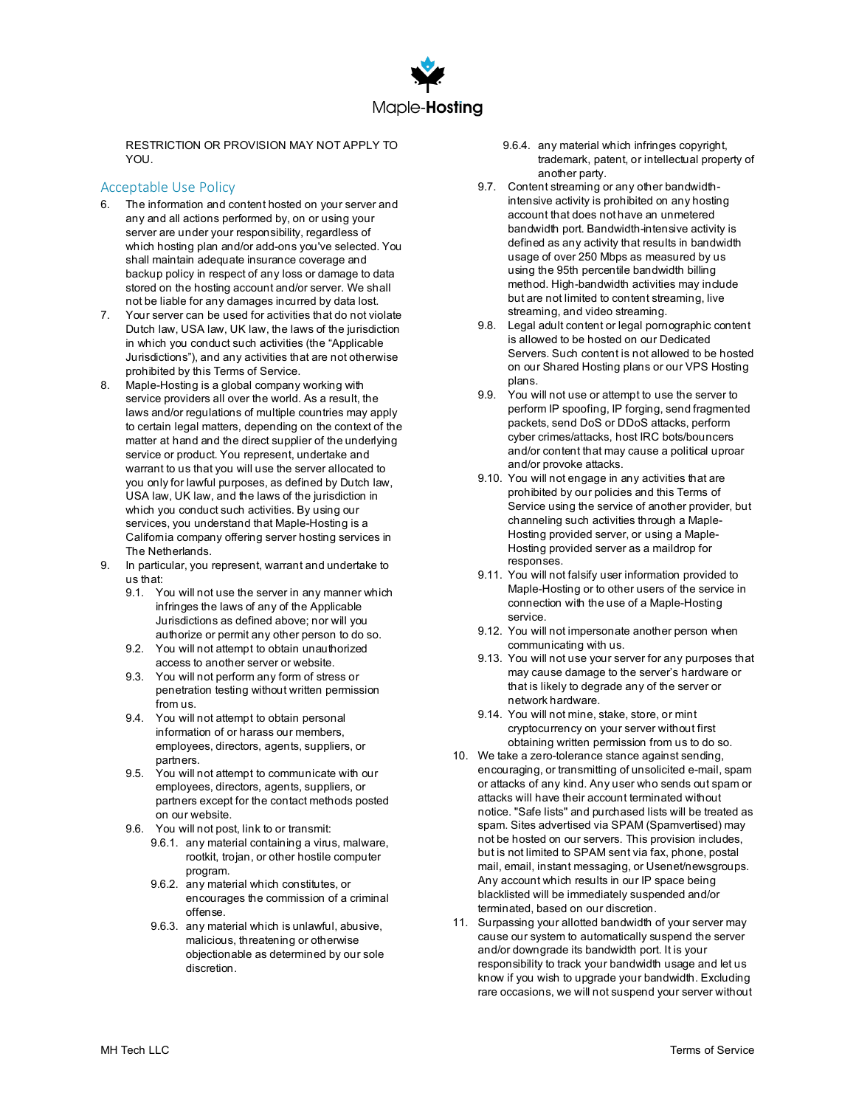

RESTRICTION OR PROVISION MAY NOT APPLY TO YOU.

## Acceptable Use Policy

- 6. The information and content hosted on your server and any and all actions performed by, on or using your server are under your responsibility, regardless of which hosting plan and/or add-ons you've selected. You shall maintain adequate insurance coverage and backup policy in respect of any loss or damage to data stored on the hosting account and/or server. We shall not be liable for any damages incurred by data lost.
- 7. Your server can be used for activities that do not violate Dutch law, USA law, UK law, the laws of the jurisdiction in which you conduct such activities (the "Applicable Jurisdictions"), and any activities that are not otherwise prohibited by this Terms of Service.
- 8. Maple-Hosting is a global company working with service providers all over the world. As a result, the laws and/or regulations of multiple countries may apply to certain legal matters, depending on the context of the matter at hand and the direct supplier of the underlying service or product. You represent, undertake and warrant to us that you will use the server allocated to you only for lawful purposes, as defined by Dutch law, USA law, UK law, and the laws of the jurisdiction in which you conduct such activities. By using our services, you understand that Maple-Hosting is a Califomia company offering server hosting services in The Netherlands.
- 9. In particular, you represent, warrant and undertake to us that:
	- 9.1. You will not use the server in any manner which infringes the laws of any of the Applicable Jurisdictions as defined above; nor will you authorize or permit any other person to do so.
	- 9.2. You will not attempt to obtain unauthorized access to another server or website.
	- 9.3. You will not perform any form of stress or penetration testing without written permission from us.
	- 9.4. You will not attempt to obtain personal information of or harass our members, employees, directors, agents, suppliers, or partners.
	- 9.5. You will not attempt to communicate with our employees, directors, agents, suppliers, or partners except for the contact methods posted on our website.
	- 9.6. You will not post, link to or transmit:
		- 9.6.1. any material containing a virus, malware, rootkit, trojan, or other hostile computer program.
		- 9.6.2. any material which constitutes, or encourages the commission of a criminal offense.
		- 9.6.3. any material which is unlawful, abusive, malicious, threatening or otherwise objectionable as determined by our sole discretion.
- 9.6.4. any material which infringes copyright, trademark, patent, or intellectual property of another party.
- 9.7. Content streaming or any other bandwidthintensive activity is prohibited on any hosting account that does not have an unmetered bandwidth port. Bandwidth-intensive activity is defined as any activity that results in bandwidth usage of over 250 Mbps as measured by us using the 95th percentile bandwidth billing method. High-bandwidth activities may include but are not limited to content streaming, live streaming, and video streaming.
- 9.8. Legal adult content or legal pornographic content is allowed to be hosted on our Dedicated Servers. Such content is not allowed to be hosted on our Shared Hosting plans or our VPS Hosting plans.
- 9.9. You will not use or attempt to use the server to perform IP spoofing, IP forging, send fragmented packets, send DoS or DDoS attacks, perform cyber crimes/attacks, host IRC bots/bouncers and/or content that may cause a political uproar and/or provoke attacks.
- 9.10. You will not engage in any activities that are prohibited by our policies and this Terms of Service using the service of another provider, but channeling such activities through a Maple-Hosting provided server, or using a Maple-Hosting provided server as a maildrop for responses.
- 9.11. You will not falsify user information provided to Maple-Hosting or to other users of the service in connection with the use of a Maple-Hosting service.
- 9.12. You will not impersonate another person when communicating with us.
- 9.13. You will not use your server for any purposes that may cause damage to the server's hardware or that is likely to degrade any of the server or network hardware.
- 9.14. You will not mine, stake, store, or mint cryptocurrency on your server without first obtaining written permission from us to do so.
- 10. We take a zero-tolerance stance against sending, encouraging, or transmitting of unsolicited e-mail, spam or attacks of any kind. Any user who sends out spam or attacks will have their account terminated without notice. "Safe lists" and purchased lists will be treated as spam. Sites advertised via SPAM (Spamvertised) may not be hosted on our servers. This provision includes, but is not limited to SPAM sent via fax, phone, postal mail, email, instant messaging, or Usenet/newsgroups. Any account which results in our IP space being blacklisted will be immediately suspended and/or terminated, based on our discretion.
- 11. Surpassing your allotted bandwidth of your server may cause our system to automatically suspend the server and/or downgrade its bandwidth port. It is your responsibility to track your bandwidth usage and let us know if you wish to upgrade your bandwidth. Excluding rare occasions, we will not suspend your server without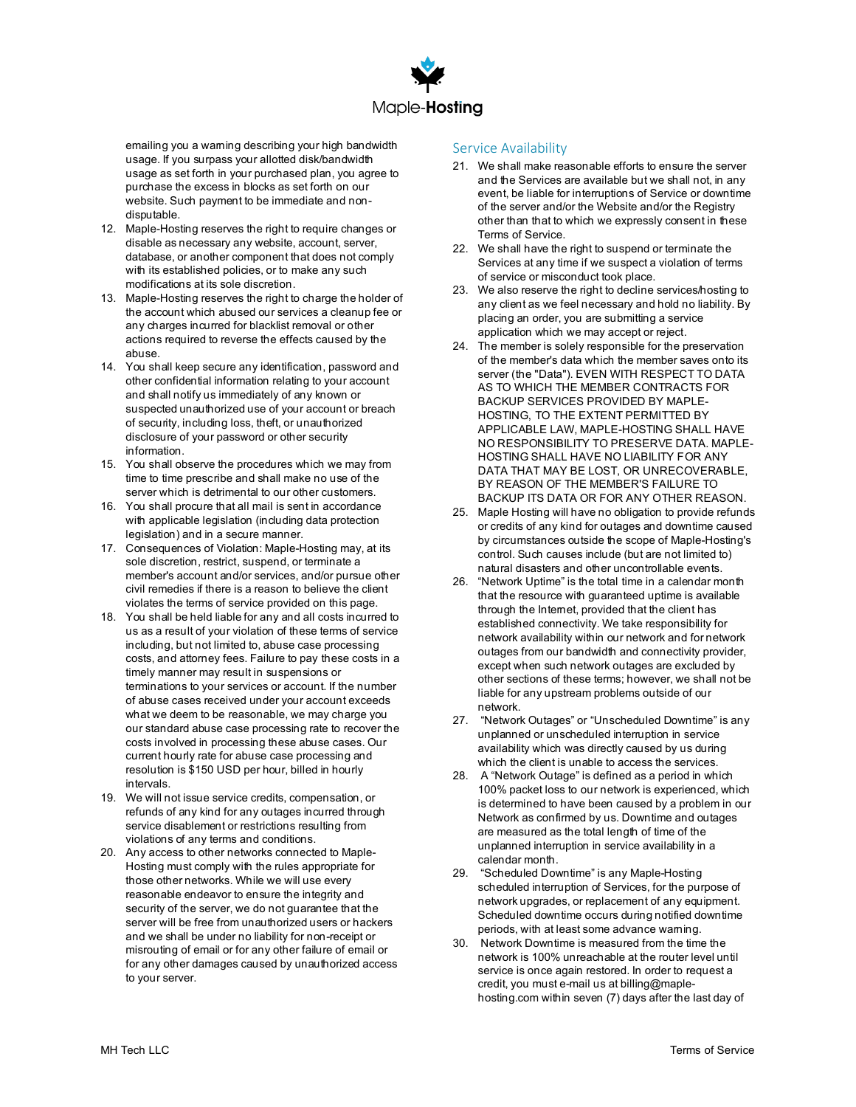

emailing you a warning describing your high bandwidth usage. If you surpass your allotted disk/bandwidth usage as set forth in your purchased plan, you agree to purchase the excess in blocks as set forth on our website. Such payment to be immediate and nondisputable.

- 12. Maple-Hosting reserves the right to require changes or disable as necessary any website, account, server, database, or another component that does not comply with its established policies, or to make any such modifications at its sole discretion.
- 13. Maple-Hosting reserves the right to charge the holder of the account which abused our services a cleanup fee or any charges incurred for blacklist removal or other actions required to reverse the effects caused by the abuse.
- 14. You shall keep secure any identification, password and other confidential information relating to your account and shall notify us immediately of any known or suspected unauthorized use of your account or breach of security, including loss, theft, or unauthorized disclosure of your password or other security information.
- 15. You shall observe the procedures which we may from time to time prescribe and shall make no use of the server which is detrimental to our other customers.
- 16. You shall procure that all mail is sent in accordance with applicable legislation (including data protection legislation) and in a secure manner.
- 17. Consequences of Violation: Maple-Hosting may, at its sole discretion, restrict, suspend, or terminate a member's account and/or services, and/or pursue other civil remedies if there is a reason to believe the client violates the terms of service provided on this page.
- 18. You shall be held liable for any and all costs incurred to us as a result of your violation of these terms of service including, but not limited to, abuse case processing costs, and attorney fees. Failure to pay these costs in a timely manner may result in suspensions or terminations to your services or account. If the number of abuse cases received under your account exceeds what we deem to be reasonable, we may charge you our standard abuse case processing rate to recover the costs involved in processing these abuse cases. Our current hourly rate for abuse case processing and resolution is \$150 USD per hour, billed in hourly intervals.
- 19. We will not issue service credits, compensation, or refunds of any kind for any outages incurred through service disablement or restrictions resulting from violations of any terms and conditions.
- 20. Any access to other networks connected to Maple-Hosting must comply with the rules appropriate for those other networks. While we will use every reasonable endeavor to ensure the integrity and security of the server, we do not guarantee that the server will be free from unauthorized users or hackers and we shall be under no liability for non-receipt or misrouting of email or for any other failure of email or for any other damages caused by unauthorized access to your server.

## Service Availability

- 21. We shall make reasonable efforts to ensure the server and the Services are available but we shall not, in any event, be liable for interruptions of Service or downtime of the server and/or the Website and/or the Registry other than that to which we expressly consent in these Terms of Service.
- 22. We shall have the right to suspend or terminate the Services at any time if we suspect a violation of terms of service or misconduct took place.
- 23. We also reserve the right to decline services/hosting to any client as we feel necessary and hold no liability. By placing an order, you are submitting a service application which we may accept or reject.
- 24. The member is solely responsible for the preservation of the member's data which the member saves onto its server (the "Data"). EVEN WITH RESPECT TO DATA AS TO WHICH THE MEMBER CONTRACTS FOR BACKUP SERVICES PROVIDED BY MAPLE-HOSTING, TO THE EXTENT PERMITTED BY APPLICABLE LAW, MAPLE-HOSTING SHALL HAVE NO RESPONSIBILITY TO PRESERVE DATA. MAPLE-HOSTING SHALL HAVE NO LIABILITY FOR ANY DATA THAT MAY BE LOST, OR UNRECOVERABLE, BY REASON OF THE MEMBER'S FAILURE TO BACKUP ITS DATA OR FOR ANY OTHER REASON.
- 25. Maple Hosting will have no obligation to provide refunds or credits of any kind for outages and downtime caused by circumstances outside the scope of Maple-Hosting's control. Such causes include (but are not limited to) natural disasters and other uncontrollable events.
- 26. "Network Uptime" is the total time in a calendar month that the resource with guaranteed uptime is available through the Internet, provided that the client has established connectivity. We take responsibility for network availability within our network and for network outages from our bandwidth and connectivity provider, except when such network outages are excluded by other sections of these terms; however, we shall not be liable for any upstream problems outside of our network.
- 27. "Network Outages" or "Unscheduled Downtime" is any unplanned or unscheduled interruption in service availability which was directly caused by us during which the client is unable to access the services.
- 28. A "Network Outage" is defined as a period in which 100% packet loss to our network is experienced, which is determined to have been caused by a problem in our Network as confirmed by us. Downtime and outages are measured as the total length of time of the unplanned interruption in service availability in a calendar month.
- 29. "Scheduled Downtime" is any Maple-Hosting scheduled interruption of Services, for the purpose of network upgrades, or replacement of any equipment. Scheduled downtime occurs during notified downtime periods, with at least some advance warning.
- 30. Network Downtime is measured from the time the network is 100% unreachable at the router level until service is once again restored. In order to request a credit, you must e-mail us at billing@maplehosting.com within seven (7) days after the last day of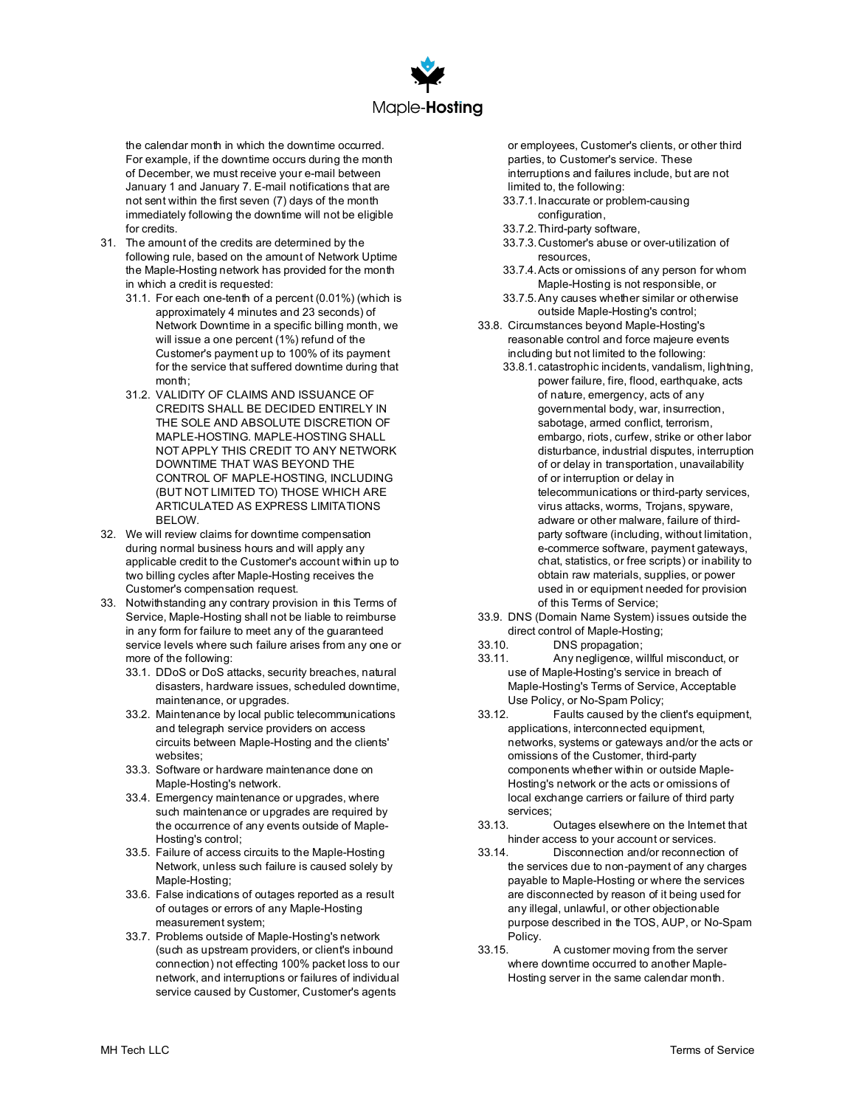

the calendar month in which the downtime occurred. For example, if the downtime occurs during the month of December, we must receive your e-mail between January 1 and January 7. E-mail notifications that are not sent within the first seven (7) days of the month immediately following the downtime will not be eligible for credits.

- 31. The amount of the credits are determined by the following rule, based on the amount of Network Uptime the Maple-Hosting network has provided for the month in which a credit is requested:
	- 31.1. For each one-tenth of a percent (0.01%) (which is approximately 4 minutes and 23 seconds) of Network Downtime in a specific billing month, we will issue a one percent (1%) refund of the Customer's payment up to 100% of its payment for the service that suffered downtime during that  $month:$
	- 31.2. VALIDITY OF CLAIMS AND ISSUANCE OF CREDITS SHALL BE DECIDED ENTIRELY IN THE SOLE AND ABSOLUTE DISCRETION OF MAPLE-HOSTING. MAPLE-HOSTING SHALL NOT APPLY THIS CREDIT TO ANY NETWORK DOWNTIME THAT WAS BEYOND THE CONTROL OF MAPLE-HOSTING, INCLUDING (BUT NOT LIMITED TO) THOSE WHICH ARE ARTICULATED AS EXPRESS LIMITATIONS BELOW.
- 32. We will review claims for downtime compensation during normal business hours and will apply any applicable credit to the Customer's account within up to two billing cycles after Maple-Hosting receives the Customer's compensation request.
- 33. Notwithstanding any contrary provision in this Terms of Service, Maple-Hosting shall not be liable to reimburse in any form for failure to meet any of the guaranteed service levels where such failure arises from any one or more of the following:
	- 33.1. DDoS or DoS attacks, security breaches, natural disasters, hardware issues, scheduled downtime, maintenance, or upgrades.
	- 33.2. Maintenance by local public telecommunications and telegraph service providers on access circuits between Maple-Hosting and the clients' websites;
	- 33.3. Software or hardware maintenance done on Maple-Hosting's network.
	- 33.4. Emergency maintenance or upgrades, where such maintenance or upgrades are required by the occurrence of any events outside of Maple-Hosting's control;
	- 33.5. Failure of access circuits to the Maple-Hosting Network, unless such failure is caused solely by Maple-Hosting;
	- 33.6. False indications of outages reported as a result of outages or errors of any Maple-Hosting measurement system;
	- 33.7. Problems outside of Maple-Hosting's network (such as upstream providers, or client's inbound connection) not effecting 100% packet loss to our network, and interruptions or failures of individual service caused by Customer, Customer's agents

or employees, Customer's clients, or other third parties, to Customer's service. These interruptions and failures include, but are not limited to, the following:

- 33.7.1.Inaccurate or problem-causing configuration,
- 33.7.2.Third-party software,
- 33.7.3.Customer's abuse or over-utilization of resources,
- 33.7.4.Acts or omissions of any person for whom Maple-Hosting is not responsible, or
- 33.7.5.Any causes whether similar or otherwise outside Maple-Hosting's control;
- 33.8. Circumstances beyond Maple-Hosting's reasonable control and force majeure events including but not limited to the following:
	- 33.8.1.catastrophic incidents, vandalism, lightning, power failure, fire, flood, earthquake, acts of nature, emergency, acts of any governmental body, war, insurrection, sabotage, armed conflict, terrorism, embargo, riots, curfew, strike or other labor disturbance, industrial disputes, interruption of or delay in transportation, unavailability of or interruption or delay in telecommunications or third-party services, virus attacks, worms, Trojans, spyware, adware or other malware, failure of thirdparty software (including, without limitation, e-commerce software, payment gateways, chat, statistics, or free scripts) or inability to obtain raw materials, supplies, or power used in or equipment needed for provision of this Terms of Service;
- 33.9. DNS (Domain Name System) issues outside the
- direct control of Maple-Hosting;<br>33 10. DNS propagation; DNS propagation;
- 33.11. Any negligence, willful misconduct, or use of Maple-Hosting's service in breach of Maple-Hosting's Terms of Service, Acceptable Use Policy, or No-Spam Policy;<br>
33.12 Faults caused by the c
- Faults caused by the client's equipment, applications, interconnected equipment, networks, systems or gateways and/or the acts or omissions of the Customer, third-party components whether within or outside Maple-Hosting's network or the acts or omissions of local exchange carriers or failure of third party services;<br>33.13.
- Outages elsewhere on the Internet that hinder access to your account or services.<br>33.14. Disconnection and/or reconnection
- Disconnection and/or reconnection of the services due to non-payment of any charges payable to Maple-Hosting or where the services are disconnected by reason of it being used for any illegal, unlawful, or other objectionable purpose described in the TOS, AUP, or No-Spam Policy.<br>33 15
- A customer moving from the server where downtime occurred to another Maple-Hosting server in the same calendar month.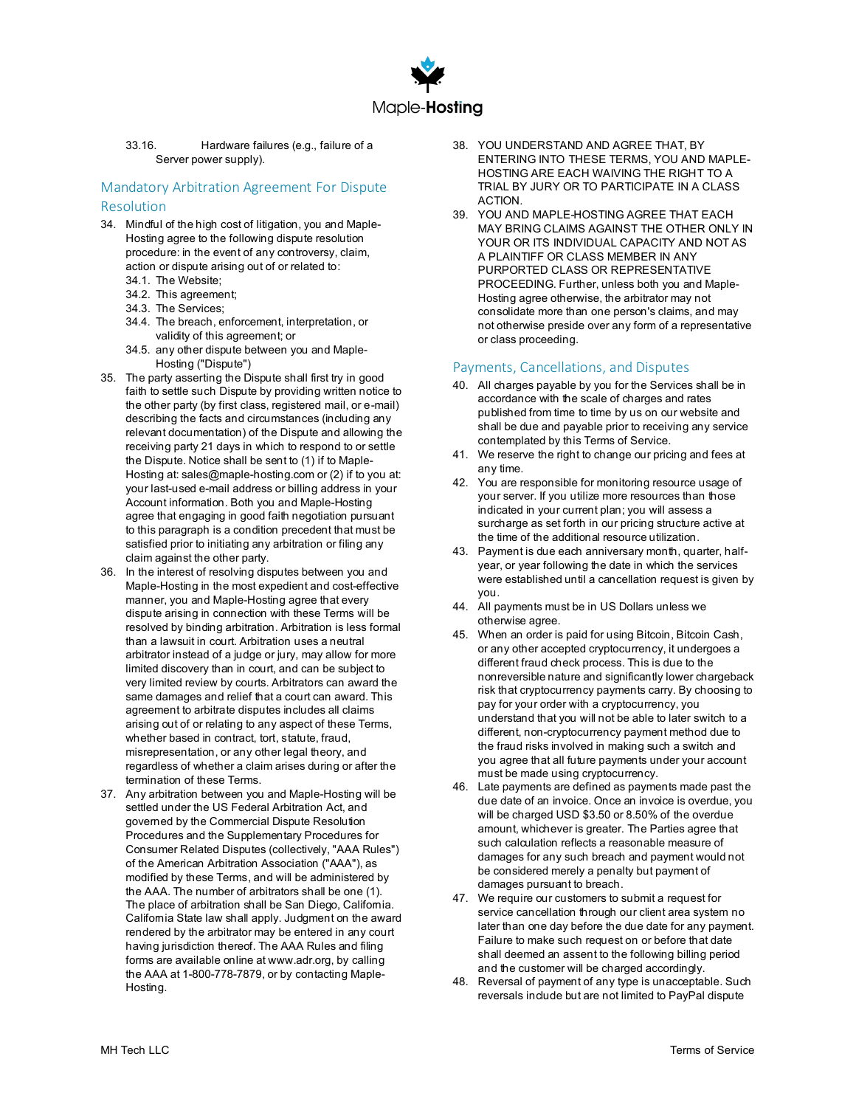

#### 33.16. Hardware failures (e.g., failure of a Server power supply).

# Mandatory Arbitration Agreement For Dispute Resolution

- 34. Mindful of the high cost of litigation, you and Maple-Hosting agree to the following dispute resolution procedure: in the event of any controversy, claim, action or dispute arising out of or related to:
	- 34.1. The Website;
	- 34.2. This agreement;
	- 34.3. The Services;
	- 34.4. The breach, enforcement, interpretation, or validity of this agreement; or
	- 34.5. any other dispute between you and Maple-Hosting ("Dispute")
- 35. The party asserting the Dispute shall first try in good faith to settle such Dispute by providing written notice to the other party (by first class, registered mail, or e-mail) describing the facts and circumstances (including any relevant documentation) of the Dispute and allowing the receiving party 21 days in which to respond to or settle the Dispute. Notice shall be sent to (1) if to Maple-Hosting at: sales@maple-hosting.com or (2) if to you at: your last-used e-mail address or billing address in your Account information. Both you and Maple-Hosting agree that engaging in good faith negotiation pursuant to this paragraph is a condition precedent that must be satisfied prior to initiating any arbitration or filing any claim against the other party.
- 36. In the interest of resolving disputes between you and Maple-Hosting in the most expedient and cost-effective manner, you and Maple-Hosting agree that every dispute arising in connection with these Terms will be resolved by binding arbitration. Arbitration is less formal than a lawsuit in court. Arbitration uses a neutral arbitrator instead of a judge or jury, may allow for more limited discovery than in court, and can be subject to very limited review by courts. Arbitrators can award the same damages and relief that a court can award. This agreement to arbitrate disputes includes all claims arising out of or relating to any aspect of these Terms, whether based in contract, tort, statute, fraud, misrepresentation, or any other legal theory, and regardless of whether a claim arises during or after the termination of these Terms.
- 37. Any arbitration between you and Maple-Hosting will be settled under the US Federal Arbitration Act, and governed by the Commercial Dispute Resolution Procedures and the Supplementary Procedures for Consumer Related Disputes (collectively, "AAA Rules") of the American Arbitration Association ("AAA"), as modified by these Terms, and will be administered by the AAA. The number of arbitrators shall be one (1). The place of arbitration shall be San Diego, Califomia. California State law shall apply. Judgment on the award rendered by the arbitrator may be entered in any court having jurisdiction thereof. The AAA Rules and filing forms are available online at www.adr.org, by calling the AAA at 1-800-778-7879, or by contacting Maple-Hosting.
- 38. YOU UNDERSTAND AND AGREE THAT, BY ENTERING INTO THESE TERMS, YOU AND MAPLE-HOSTING ARE EACH WAIVING THE RIGHT TO A TRIAL BY JURY OR TO PARTICIPATE IN A CLASS ACTION.
- 39. YOU AND MAPLE-HOSTING AGREE THAT EACH MAY BRING CLAIMS AGAINST THE OTHER ONLY IN YOUR OR ITS INDIVIDUAL CAPACITY AND NOT AS A PLAINTIFF OR CLASS MEMBER IN ANY PURPORTED CLASS OR REPRESENTATIVE PROCEEDING. Further, unless both you and Maple-Hosting agree otherwise, the arbitrator may not consolidate more than one person's claims, and may not otherwise preside over any form of a representative or class proceeding.

#### Payments, Cancellations, and Disputes

- 40. All charges payable by you for the Services shall be in accordance with the scale of charges and rates published from time to time by us on our website and shall be due and payable prior to receiving any service contemplated by this Terms of Service.
- 41. We reserve the right to change our pricing and fees at any time.
- 42. You are responsible for monitoring resource usage of your server. If you utilize more resources than those indicated in your current plan; you will assess a surcharge as set forth in our pricing structure active at the time of the additional resource utilization.
- 43. Payment is due each anniversary month, quarter, halfyear, or year following the date in which the services were established until a cancellation request is given by you.
- 44. All payments must be in US Dollars unless we otherwise agree.
- 45. When an order is paid for using Bitcoin, Bitcoin Cash, or any other accepted cryptocurrency, it undergoes a different fraud check process. This is due to the nonreversible nature and significantly lower chargeback risk that cryptocurrency payments carry. By choosing to pay for your order with a cryptocurrency, you understand that you will not be able to later switch to a different, non-cryptocurrency payment method due to the fraud risks involved in making such a switch and you agree that all future payments under your account must be made using cryptocurrency.
- 46. Late payments are defined as payments made past the due date of an invoice. Once an invoice is overdue, you will be charged USD \$3.50 or 8.50% of the overdue amount, whichever is greater. The Parties agree that such calculation reflects a reasonable measure of damages for any such breach and payment would not be considered merely a penalty but payment of damages pursuant to breach.
- 47. We require our customers to submit a request for service cancellation through our client area system no later than one day before the due date for any payment. Failure to make such request on or before that date shall deemed an assent to the following billing period and the customer will be charged accordingly.
- 48. Reversal of payment of any type is unacceptable. Such reversals include but are not limited to PayPal dispute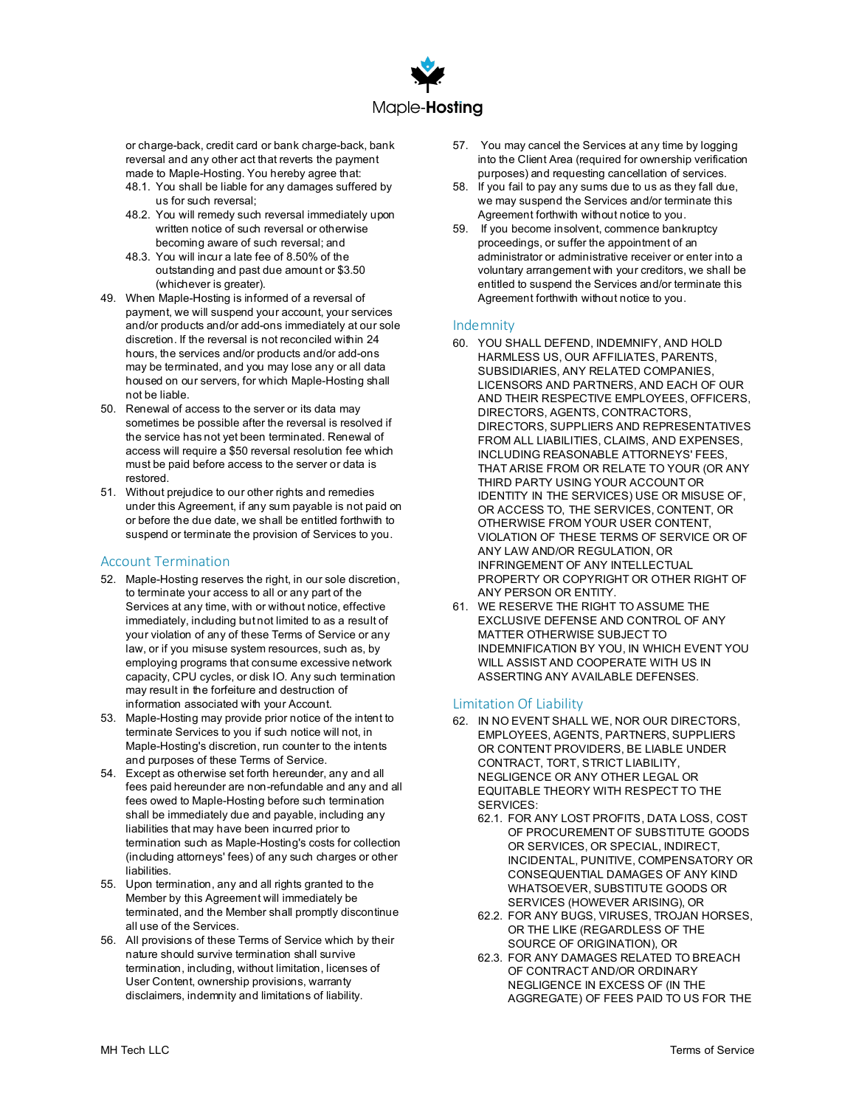

or charge-back, credit card or bank charge-back, bank reversal and any other act that reverts the payment made to Maple-Hosting. You hereby agree that: 48.1. You shall be liable for any damages suffered by

- us for such reversal;
- 48.2. You will remedy such reversal immediately upon written notice of such reversal or otherwise becoming aware of such reversal; and
- 48.3. You will incur a late fee of 8.50% of the outstanding and past due amount or \$3.50 (whichever is greater).
- 49. When Maple-Hosting is informed of a reversal of payment, we will suspend your account, your services and/or products and/or add-ons immediately at our sole discretion. If the reversal is not reconciled within 24 hours, the services and/or products and/or add-ons may be terminated, and you may lose any or all data housed on our servers, for which Maple-Hosting shall not be liable.
- 50. Renewal of access to the server or its data may sometimes be possible after the reversal is resolved if the service has not yet been terminated. Renewal of access will require a \$50 reversal resolution fee which must be paid before access to the server or data is restored.
- 51. Without prejudice to our other rights and remedies under this Agreement, if any sum payable is not paid on or before the due date, we shall be entitled forthwith to suspend or terminate the provision of Services to you.

# Account Termination

- 52. Maple-Hosting reserves the right, in our sole discretion, to terminate your access to all or any part of the Services at any time, with or without notice, effective immediately, including but not limited to as a result of your violation of any of these Terms of Service or any law, or if you misuse system resources, such as, by employing programs that consume excessive network capacity, CPU cycles, or disk IO. Any such termination may result in the forfeiture and destruction of information associated with your Account.
- 53. Maple-Hosting may provide prior notice of the intent to terminate Services to you if such notice will not, in Maple-Hosting's discretion, run counter to the intents and purposes of these Terms of Service.
- 54. Except as otherwise set forth hereunder, any and all fees paid hereunder are non-refundable and any and all fees owed to Maple-Hosting before such termination shall be immediately due and payable, including any liabilities that may have been incurred prior to termination such as Maple-Hosting's costs for collection (including attorneys' fees) of any such charges or other liabilities.
- 55. Upon termination, any and all rights granted to the Member by this Agreement will immediately be terminated, and the Member shall promptly discontinue all use of the Services.
- 56. All provisions of these Terms of Service which by their nature should survive termination shall survive termination, including, without limitation, licenses of User Content, ownership provisions, warranty disclaimers, indemnity and limitations of liability.
- 57. You may cancel the Services at any time by logging into the Client Area (required for ownership verification purposes) and requesting cancellation of services.
- 58. If you fail to pay any sums due to us as they fall due, we may suspend the Services and/or terminate this Agreement forthwith without notice to you.
- 59. If you become insolvent, commence bankruptcy proceedings, or suffer the appointment of an administrator or administrative receiver or enter into a voluntary arrangement with your creditors, we shall be entitled to suspend the Services and/or terminate this Agreement forthwith without notice to you.

#### Indemnity

- 60. YOU SHALL DEFEND, INDEMNIFY, AND HOLD HARMLESS US, OUR AFFILIATES, PARENTS, SUBSIDIARIES, ANY RELATED COMPANIES, LICENSORS AND PARTNERS, AND EACH OF OUR AND THEIR RESPECTIVE EMPLOYEES, OFFICERS, DIRECTORS, AGENTS, CONTRACTORS, DIRECTORS, SUPPLIERS AND REPRESENTATIVES FROM ALL LIABILITIES, CLAIMS, AND EXPENSES, INCLUDING REASONABLE ATTORNEYS' FEES, THAT ARISE FROM OR RELATE TO YOUR (OR ANY THIRD PARTY USING YOUR ACCOUNT OR IDENTITY IN THE SERVICES) USE OR MISUSE OF, OR ACCESS TO, THE SERVICES, CONTENT, OR OTHERWISE FROM YOUR USER CONTENT, VIOLATION OF THESE TERMS OF SERVICE OR OF ANY LAW AND/OR REGULATION, OR INFRINGEMENT OF ANY INTELLECTUAL PROPERTY OR COPYRIGHT OR OTHER RIGHT OF ANY PERSON OR ENTITY.
- 61. WE RESERVE THE RIGHT TO ASSUME THE EXCLUSIVE DEFENSE AND CONTROL OF ANY MATTER OTHERWISE SUBJECT TO INDEMNIFICATION BY YOU, IN WHICH EVENT YOU WILL ASSIST AND COOPERATE WITH US IN ASSERTING ANY AVAILABLE DEFENSES.

#### Limitation Of Liability

- 62. IN NO EVENT SHALL WE, NOR OUR DIRECTORS, EMPLOYEES, AGENTS, PARTNERS, SUPPLIERS OR CONTENT PROVIDERS, BE LIABLE UNDER CONTRACT, TORT, STRICT LIABILITY, NEGLIGENCE OR ANY OTHER LEGAL OR EQUITABLE THEORY WITH RESPECT TO THE SERVICES:
	- 62.1. FOR ANY LOST PROFITS, DATA LOSS, COST OF PROCUREMENT OF SUBSTITUTE GOODS OR SERVICES, OR SPECIAL, INDIRECT, INCIDENTAL, PUNITIVE, COMPENSATORY OR CONSEQUENTIAL DAMAGES OF ANY KIND WHATSOEVER, SUBSTITUTE GOODS OR SERVICES (HOWEVER ARISING), OR
	- 62.2. FOR ANY BUGS, VIRUSES, TROJAN HORSES, OR THE LIKE (REGARDLESS OF THE SOURCE OF ORIGINATION), OR
	- 62.3. FOR ANY DAMAGES RELATED TO BREACH OF CONTRACT AND/OR ORDINARY NEGLIGENCE IN EXCESS OF (IN THE AGGREGATE) OF FEES PAID TO US FOR THE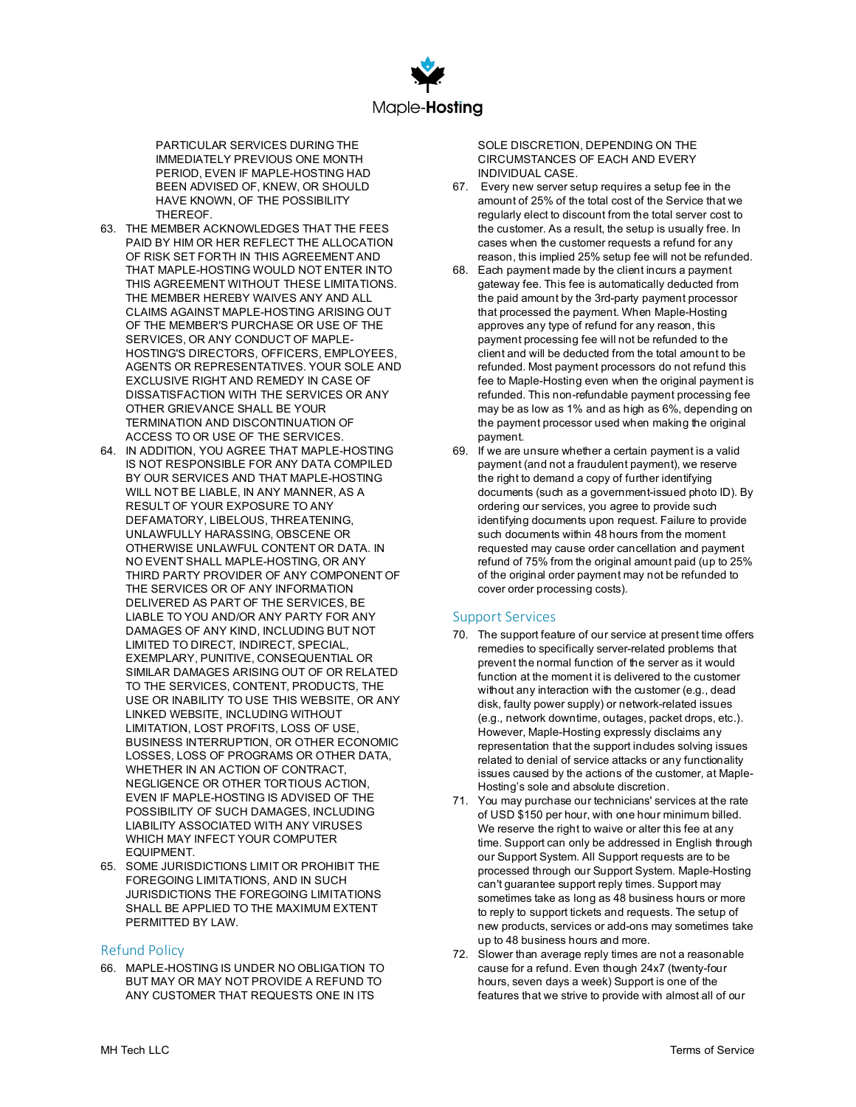

PARTICULAR SERVICES DURING THE IMMEDIATELY PREVIOUS ONE MONTH PERIOD, EVEN IF MAPLE-HOSTING HAD BEEN ADVISED OF, KNEW, OR SHOULD HAVE KNOWN, OF THE POSSIBILITY THEREOF.

- 63. THE MEMBER ACKNOWLEDGES THAT THE FEES PAID BY HIM OR HER REFLECT THE ALLOCATION OF RISK SET FORTH IN THIS AGREEMENT AND THAT MAPLE-HOSTING WOULD NOT ENTER INTO THIS AGREEMENT WITHOUT THESE LIMITATIONS. THE MEMBER HEREBY WAIVES ANY AND ALL CLAIMS AGAINST MAPLE-HOSTING ARISING OUT OF THE MEMBER'S PURCHASE OR USE OF THE SERVICES, OR ANY CONDUCT OF MAPLE-HOSTING'S DIRECTORS, OFFICERS, EMPLOYEES, AGENTS OR REPRESENTATIVES. YOUR SOLE AND EXCLUSIVE RIGHT AND REMEDY IN CASE OF DISSATISFACTION WITH THE SERVICES OR ANY OTHER GRIEVANCE SHALL BE YOUR TERMINATION AND DISCONTINUATION OF ACCESS TO OR USE OF THE SERVICES.
- 64. IN ADDITION, YOU AGREE THAT MAPLE-HOSTING IS NOT RESPONSIBLE FOR ANY DATA COMPILED BY OUR SERVICES AND THAT MAPLE-HOSTING WILL NOT BE LIABLE, IN ANY MANNER, AS A RESULT OF YOUR EXPOSURE TO ANY DEFAMATORY, LIBELOUS, THREATENING, UNLAWFULLY HARASSING, OBSCENE OR OTHERWISE UNLAWFUL CONTENT OR DATA. IN NO EVENT SHALL MAPLE-HOSTING, OR ANY THIRD PARTY PROVIDER OF ANY COMPONENT OF THE SERVICES OR OF ANY INFORMATION DELIVERED AS PART OF THE SERVICES, BE LIABLE TO YOU AND/OR ANY PARTY FOR ANY DAMAGES OF ANY KIND, INCLUDING BUT NOT LIMITED TO DIRECT, INDIRECT, SPECIAL, EXEMPLARY, PUNITIVE, CONSEQUENTIAL OR SIMILAR DAMAGES ARISING OUT OF OR RELATED TO THE SERVICES, CONTENT, PRODUCTS, THE USE OR INABILITY TO USE THIS WEBSITE, OR ANY LINKED WEBSITE, INCLUDING WITHOUT LIMITATION, LOST PROFITS, LOSS OF USE, BUSINESS INTERRUPTION, OR OTHER ECONOMIC LOSSES, LOSS OF PROGRAMS OR OTHER DATA, WHETHER IN AN ACTION OF CONTRACT, NEGLIGENCE OR OTHER TORTIOUS ACTION, EVEN IF MAPLE-HOSTING IS ADVISED OF THE POSSIBILITY OF SUCH DAMAGES, INCLUDING LIABILITY ASSOCIATED WITH ANY VIRUSES WHICH MAY INFECT YOUR COMPUTER **EQUIPMENT**
- 65. SOME JURISDICTIONS LIMIT OR PROHIBIT THE FOREGOING LIMITATIONS, AND IN SUCH JURISDICTIONS THE FOREGOING LIMITATIONS SHALL BE APPLIED TO THE MAXIMUM EXTENT PERMITTED BY LAW.

#### Refund Policy

66. MAPLE-HOSTING IS UNDER NO OBLIGATION TO BUT MAY OR MAY NOT PROVIDE A REFUND TO ANY CUSTOMER THAT REQUESTS ONE IN ITS

SOLE DISCRETION, DEPENDING ON THE CIRCUMSTANCES OF EACH AND EVERY INDIVIDUAL CASE.

- 67. Every new server setup requires a setup fee in the amount of 25% of the total cost of the Service that we regularly elect to discount from the total server cost to the customer. As a result, the setup is usually free. In cases when the customer requests a refund for any reason, this implied 25% setup fee will not be refunded.
- 68. Each payment made by the client incurs a payment gateway fee. This fee is automatically deducted from the paid amount by the 3rd-party payment processor that processed the payment. When Maple-Hosting approves any type of refund for any reason, this payment processing fee will not be refunded to the client and will be deducted from the total amount to be refunded. Most payment processors do not refund this fee to Maple-Hosting even when the original payment is refunded. This non-refundable payment processing fee may be as low as 1% and as high as 6%, depending on the payment processor used when making the original payment.
- 69. If we are unsure whether a certain payment is a valid payment (and not a fraudulent payment), we reserve the right to demand a copy of further identifying documents (such as a government-issued photo ID). By ordering our services, you agree to provide such identifying documents upon request. Failure to provide such documents within 48 hours from the moment requested may cause order cancellation and payment refund of 75% from the original amount paid (up to 25% of the original order payment may not be refunded to cover order processing costs).

#### Support Services

- 70. The support feature of our service at present time offers remedies to specifically server-related problems that prevent the normal function of the server as it would function at the moment it is delivered to the customer without any interaction with the customer (e.g., dead disk, faulty power supply) or network-related issues (e.g., network downtime, outages, packet drops, etc.). However, Maple-Hosting expressly disclaims any representation that the support includes solving issues related to denial of service attacks or any functionality issues caused by the actions of the customer, at Maple-Hosting's sole and absolute discretion.
- 71. You may purchase our technicians' services at the rate of USD \$150 per hour, with one hour minimum billed. We reserve the right to waive or alter this fee at any time. Support can only be addressed in English through our Support System. All Support requests are to be processed through our Support System. Maple-Hosting can't guarantee support reply times. Support may sometimes take as long as 48 business hours or more to reply to support tickets and requests. The setup of new products, services or add-ons may sometimes take up to 48 business hours and more.
- 72. Slower than average reply times are not a reasonable cause for a refund. Even though 24x7 (twenty-four hours, seven days a week) Support is one of the features that we strive to provide with almost all of our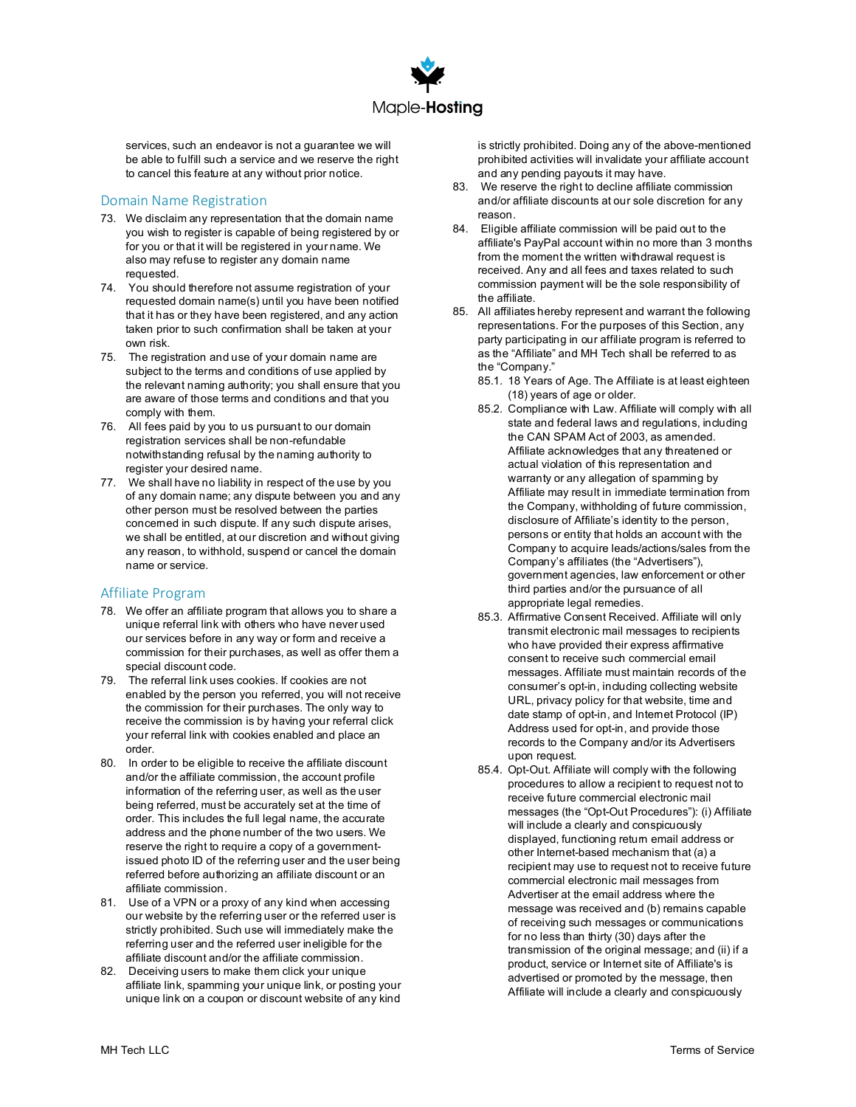

services, such an endeavor is not a guarantee we will be able to fulfill such a service and we reserve the right to cancel this feature at any without prior notice.

## Domain Name Registration

- 73. We disclaim any representation that the domain name you wish to register is capable of being registered by or for you or that it will be registered in your name. We also may refuse to register any domain name requested.
- 74. You should therefore not assume registration of your requested domain name(s) until you have been notified that it has or they have been registered, and any action taken prior to such confirmation shall be taken at your own risk.
- 75. The registration and use of your domain name are subject to the terms and conditions of use applied by the relevant naming authority; you shall ensure that you are aware of those terms and conditions and that you comply with them.
- 76. All fees paid by you to us pursuant to our domain registration services shall be non-refundable notwithstanding refusal by the naming authority to register your desired name.
- 77. We shall have no liability in respect of the use by you of any domain name; any dispute between you and any other person must be resolved between the parties concerned in such dispute. If any such dispute arises, we shall be entitled, at our discretion and without giving any reason, to withhold, suspend or cancel the domain name or service.

#### Affiliate Program

- 78. We offer an affiliate program that allows you to share a unique referral link with others who have never used our services before in any way or form and receive a commission for their purchases, as well as offer them a special discount code.
- 79. The referral link uses cookies. If cookies are not enabled by the person you referred, you will not receive the commission for their purchases. The only way to receive the commission is by having your referral click your referral link with cookies enabled and place an order.
- 80. In order to be eligible to receive the affiliate discount and/or the affiliate commission, the account profile information of the referring user, as well as the user being referred, must be accurately set at the time of order. This includes the full legal name, the accurate address and the phone number of the two users. We reserve the right to require a copy of a governmentissued photo ID of the referring user and the user being referred before authorizing an affiliate discount or an affiliate commission.
- 81. Use of a VPN or a proxy of any kind when accessing our website by the referring user or the referred user is strictly prohibited. Such use will immediately make the referring user and the referred user ineligible for the affiliate discount and/or the affiliate commission.
- 82. Deceiving users to make them click your unique affiliate link, spamming your unique link, or posting your unique link on a coupon or discount website of any kind

is strictly prohibited. Doing any of the above-mentioned prohibited activities will invalidate your affiliate account and any pending payouts it may have.

- 83. We reserve the right to decline affiliate commission and/or affiliate discounts at our sole discretion for any reason.
- 84. Eligible affiliate commission will be paid out to the affiliate's PayPal account within no more than 3 months from the moment the written withdrawal request is received. Any and all fees and taxes related to such commission payment will be the sole responsibility of the affiliate.
- 85. All affiliates hereby represent and warrant the following representations. For the purposes of this Section, any party participating in our affiliate program is referred to as the "Affiliate" and MH Tech shall be referred to as the "Company."
	- 85.1. 18 Years of Age. The Affiliate is at least eighteen (18) years of age or older.
	- 85.2. Compliance with Law. Affiliate will comply with all state and federal laws and regulations, including the CAN SPAM Act of 2003, as amended. Affiliate acknowledges that any threatened or actual violation of this representation and warranty or any allegation of spamming by Affiliate may result in immediate termination from the Company, withholding of future commission, disclosure of Affiliate's identity to the person, persons or entity that holds an account with the Company to acquire leads/actions/sales from the Company's affiliates (the "Advertisers"), government agencies, law enforcement or other third parties and/or the pursuance of all appropriate legal remedies.
	- 85.3. Affirmative Consent Received. Affiliate will only transmit electronic mail messages to recipients who have provided their express affirmative consent to receive such commercial email messages. Affiliate must maintain records of the consumer's opt-in, including collecting website URL, privacy policy for that website, time and date stamp of opt-in, and Internet Protocol (IP) Address used for opt-in, and provide those records to the Company and/or its Advertisers upon request.
	- 85.4. Opt-Out. Affiliate will comply with the following procedures to allow a recipient to request not to receive future commercial electronic mail messages (the "Opt-Out Procedures"): (i) Affiliate will include a clearly and conspicuously displayed, functioning return email address or other Internet-based mechanism that (a) a recipient may use to request not to receive future commercial electronic mail messages from Advertiser at the email address where the message was received and (b) remains capable of receiving such messages or communications for no less than thirty (30) days after the transmission of the original message; and (ii) if a product, service or Internet site of Affiliate's is advertised or promoted by the message, then Affiliate will include a clearly and conspicuously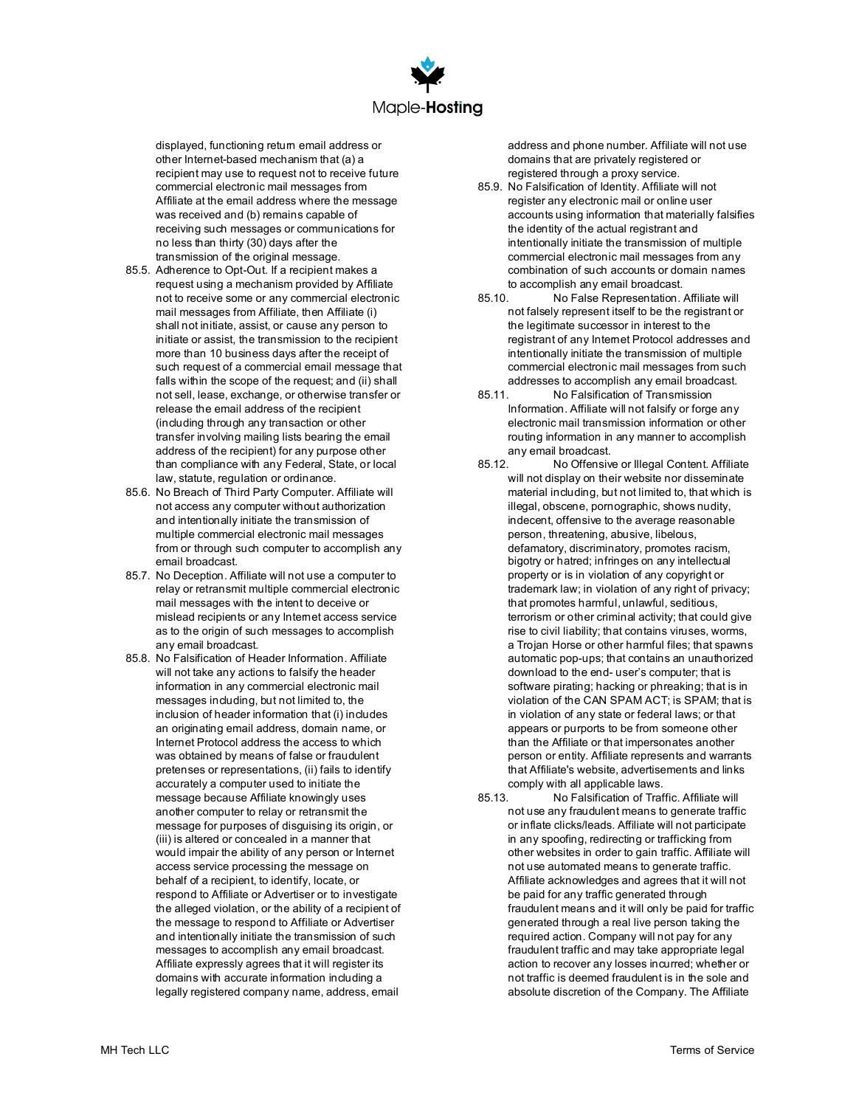

displayed, functioning return email address or other Internet-based mechanism that (a) a recipient may use to request not to receive future commercial electronic mail messages from Affiliate at the email address where the message was received and (b) remains capable of receiving such messages or communications for no less than thirty (30) days after the transmission of the original message.

- 85.5. Adherence to Opt-Out. If a recipient makes a request using a mechanism provided by Affiliate not to receive some or any commercial electronic mail messages from Affiliate, then Affiliate (i) shall not initiate, assist, or cause any person to initiate or assist, the transmission to the recipient more than 10 business days after the receipt of such request of a commercial email message that falls within the scope of the request; and (ii) shall not sell, lease, exchange, or otherwise transfer or release the email address of the recipient (including through any transaction or other transfer involving mailing lists bearing the email address of the recipient) for any purpose other than compliance with any Federal, State, or local law, statute, regulation or ordinance.
- 85.6. No Breach of Third Party Computer. Affiliate will not access any computer without authorization and intentionally initiate the transmission of multiple commercial electronic mail messages from or through such computer to accomplish any email broadcast.
- 85.7. No Deception. Affiliate will not use a computer to relay or retransmit multiple commercial electronic mail messages with the intent to deceive or mislead recipients or any Internet access service as to the origin of such messages to accomplish any email broadcast.
- 85.8. No Falsification of Header Information. Affiliate will not take any actions to falsify the header information in any commercial electronic mail messages including, but not limited to, the inclusion of header information that (i) includes an originating email address, domain name, or Internet Protocol address the access to which was obtained by means of false or fraudulent pretenses or representations, (ii) fails to identify accurately a computer used to initiate the message because Affiliate knowingly uses another computer to relay or retransmit the message for purposes of disguising its origin, or (iii) is altered or concealed in a manner that would impair the ability of any person or Internet access service processing the message on behalf of a recipient, to identify, locate, or respond to Affiliate or Advertiser or to investigate the alleged violation, or the ability of a recipient of the message to respond to Affiliate or Advertiser and intentionally initiate the transmission of such messages to accomplish any email broadcast. Affiliate expressly agrees that it will register its domains with accurate information including a legally registered company name, address, email

address and phone number. Affiliate will not use domains that are privately registered or registered through a proxy service.

- 85.9. No Falsification of Identity. Affiliate will not register any electronic mail or online user accounts using information that materially falsifies the identity of the actual registrant and intentionally initiate the transmission of multiple commercial electronic mail messages from any combination of such accounts or domain names to accomplish any email broadcast.<br>85.10 No False Representation
- No False Representation. Affiliate will not falsely represent itself to be the registrant or the legitimate successor in interest to the registrant of any Internet Protocol addresses and intentionally initiate the transmission of multiple commercial electronic mail messages from such addresses to accomplish any email broadcast.
- 85.11. No Falsification of Transmission Information. Affiliate will not falsify or forge any electronic mail transmission information or other routing information in any manner to accomplish any email broadcast.<br>85.12. No Offensiv
- No Offensive or Illegal Content. Affiliate will not display on their website nor disseminate material including, but not limited to, that which is illegal, obscene, pornographic, shows nudity, indecent, offensive to the average reasonable person, threatening, abusive, libelous, defamatory, discriminatory, promotes racism, bigotry or hatred; infringes on any intellectual property or is in violation of any copyright or trademark law; in violation of any right of privacy; that promotes harmful, unlawful, seditious, terrorism or other criminal activity; that could give rise to civil liability; that contains viruses, worms, a Trojan Horse or other harmful files; that spawns automatic pop-ups; that contains an unauthorized download to the end- user's computer; that is software pirating; hacking or phreaking; that is in violation of the CAN SPAM ACT; is SPAM; that is in violation of any state or federal laws; or that appears or purports to be from someone other than the Affiliate or that impersonates another person or entity. Affiliate represents and warrants that Affiliate's website, advertisements and links comply with all applicable laws.
- 85.13. No Falsification of Traffic. Affiliate will not use any fraudulent means to generate traffic or inflate clicks/leads. Affiliate will not participate in any spoofing, redirecting or trafficking from other websites in order to gain traffic. Affiliate will not use automated means to generate traffic. Affiliate acknowledges and agrees that it will not be paid for any traffic generated through fraudulent means and it will only be paid for traffic generated through a real live person taking the required action. Company will not pay for any fraudulent traffic and may take appropriate legal action to recover any losses incurred; whether or not traffic is deemed fraudulent is in the sole and absolute discretion of the Company. The Affiliate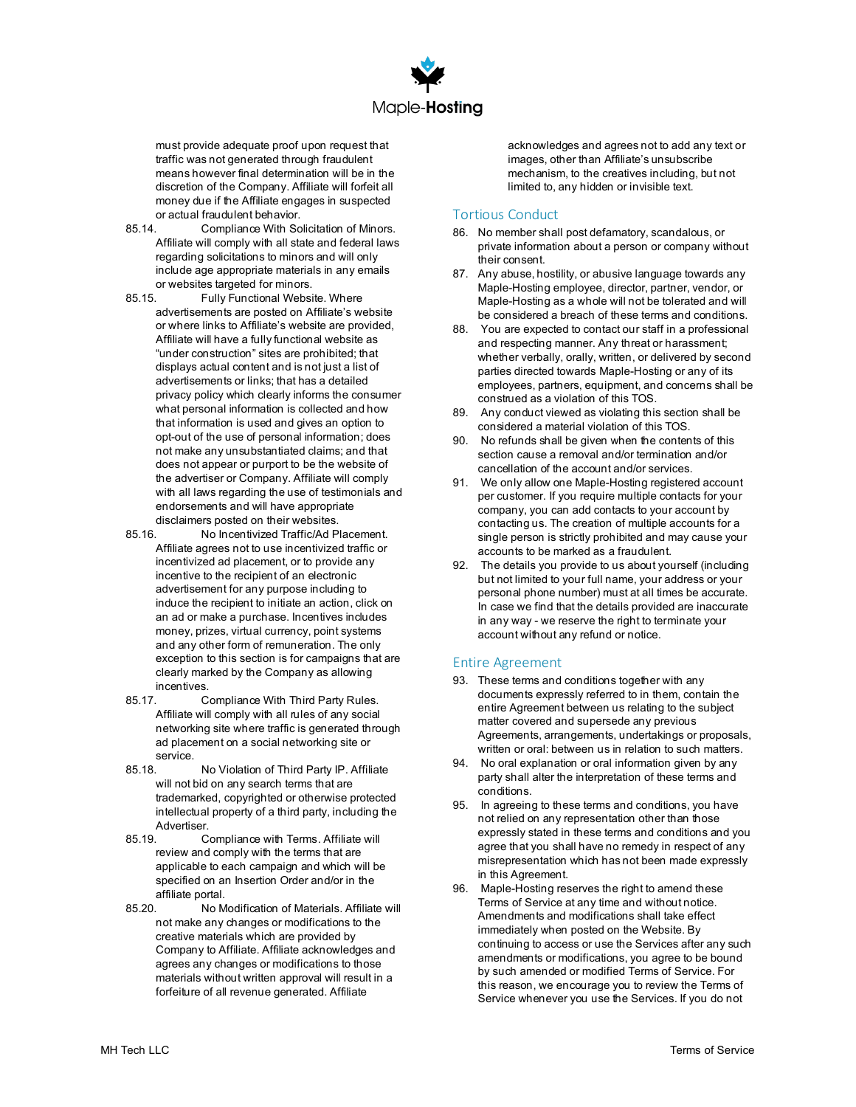

must provide adequate proof upon request that traffic was not generated through fraudulent means however final determination will be in the discretion of the Company. Affiliate will forfeit all money due if the Affiliate engages in suspected

- or actual fraudulent behavior.<br>85.14. Compliance With So Compliance With Solicitation of Minors. Affiliate will comply with all state and federal laws regarding solicitations to minors and will only include age appropriate materials in any emails or websites targeted for minors.<br>B5 15 Fully Functional Websi
- Fully Functional Website. Where advertisements are posted on Affiliate's website or where links to Affiliate's website are provided, Affiliate will have a fully functional website as "under construction" sites are prohibited; that displays actual content and is not just a list of advertisements or links; that has a detailed privacy policy which clearly informs the consumer what personal information is collected and how that information is used and gives an option to opt-out of the use of personal information; does not make any unsubstantiated claims; and that does not appear or purport to be the website of the advertiser or Company. Affiliate will comply with all laws regarding the use of testimonials and endorsements and will have appropriate disclaimers posted on their websites.<br>And home tivized Traffic/Ad P
- - No Incentivized Traffic/Ad Placement. Affiliate agrees not to use incentivized traffic or incentivized ad placement, or to provide any incentive to the recipient of an electronic advertisement for any purpose including to induce the recipient to initiate an action, click on an ad or make a purchase. Incentives includes money, prizes, virtual currency, point systems and any other form of remuneration. The only exception to this section is for campaigns that are clearly marked by the Company as allowing incentives.
- 85.17. Compliance With Third Party Rules. Affiliate will comply with all rules of any social networking site where traffic is generated through ad placement on a social networking site or
- service. No Violation of Third Party IP. Affiliate will not bid on any search terms that are trademarked, copyrighted or otherwise protected intellectual property of a third party, including the Advertiser.
- 85.19. Compliance with Terms. Affiliate will review and comply with the terms that are applicable to each campaign and which will be specified on an Insertion Order and/or in the affiliate portal.
- 85.20. No Modification of Materials. Affiliate will not make any changes or modifications to the creative materials which are provided by Company to Affiliate. Affiliate acknowledges and agrees any changes or modifications to those materials without written approval will result in a forfeiture of all revenue generated. Affiliate

acknowledges and agrees not to add any text or images, other than Affiliate's unsubscribe mechanism, to the creatives including, but not limited to, any hidden or invisible text.

### Tortious Conduct

- 86. No member shall post defamatory, scandalous, or private information about a person or company without their consent.
- 87. Any abuse, hostility, or abusive language towards any Maple-Hosting employee, director, partner, vendor, or Maple-Hosting as a whole will not be tolerated and will be considered a breach of these terms and conditions.
- 88. You are expected to contact our staff in a professional and respecting manner. Any threat or harassment; whether verbally, orally, written, or delivered by second parties directed towards Maple-Hosting or any of its employees, partners, equipment, and concerns shall be construed as a violation of this TOS.
- 89. Any conduct viewed as violating this section shall be considered a material violation of this TOS.
- 90. No refunds shall be given when the contents of this section cause a removal and/or termination and/or cancellation of the account and/or services.
- 91. We only allow one Maple-Hosting registered account per customer. If you require multiple contacts for your company, you can add contacts to your account by contacting us. The creation of multiple accounts for a single person is strictly prohibited and may cause your accounts to be marked as a fraudulent.
- 92. The details you provide to us about yourself (including but not limited to your full name, your address or your personal phone number) must at all times be accurate. In case we find that the details provided are inaccurate in any way - we reserve the right to terminate your account without any refund or notice.

#### Entire Agreement

- 93. These terms and conditions together with any documents expressly referred to in them, contain the entire Agreement between us relating to the subject matter covered and supersede any previous Agreements, arrangements, undertakings or proposals, written or oral: between us in relation to such matters.
- 94. No oral explanation or oral information given by any party shall alter the interpretation of these terms and conditions.
- 95. In agreeing to these terms and conditions, you have not relied on any representation other than those expressly stated in these terms and conditions and you agree that you shall have no remedy in respect of any misrepresentation which has not been made expressly in this Agreement.
- 96. Maple-Hosting reserves the right to amend these Terms of Service at any time and without notice. Amendments and modifications shall take effect immediately when posted on the Website. By continuing to access or use the Services after any such amendments or modifications, you agree to be bound by such amended or modified Terms of Service. For this reason, we encourage you to review the Terms of Service whenever you use the Services. If you do not